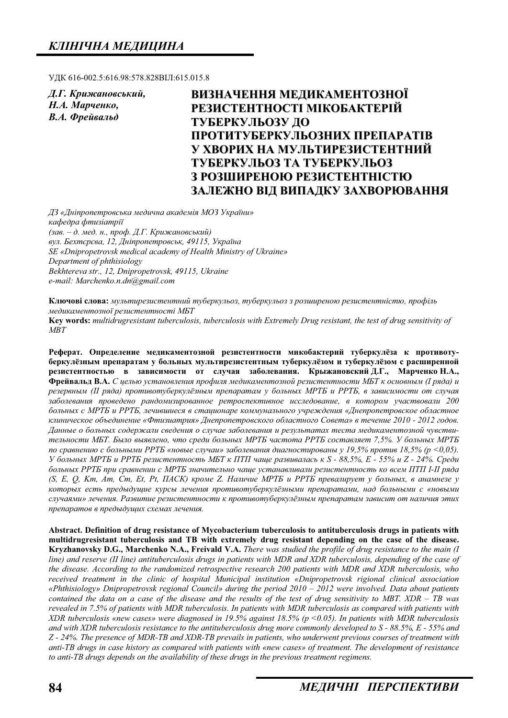УДК 616-002.5:616.98:578.828ВІЛ:615.015.8

 $\overline{A}$ . Г. Крижановський, Н.А. Марченко, **В.А.** Фрейвальд

# ВИЗНАЧЕННЯ МЕДИКАМЕНТОЗНОЇ **РЕЗИСТЕНТНОСТІ МІКОБАКТЕРІЙ ɌɍȻȿɊɄɍɅɖɈɁɍ ȾɈ ɉɊɈɌɂɌɍȻȿɊɄɍɅɖɈɁɇɂɏ ɉɊȿɉȺɊȺɌȱȼ ɍ ɏȼɈɊɂɏ ɇȺ ɆɍɅɖɌɂɊȿɁɂɋɌȿɇɌɇɂɃ ɌɍȻȿɊɄɍɅɖɈɁ ɌȺ ɌɍȻȿɊɄɍɅɖɈɁ З РОЗШИРЕНОЮ РЕЗИСТЕНТНІСТЮ** ЗАЛЕЖНО ВІД ВИПАДКУ ЗАХВОРЮВАННЯ

 $\overline{A}$ З «Дніпропетровська медична академія МОЗ України» *ɤɚɮɟɞɪɚ ɮɬɢɡɿɚɬɪɿʀ* (зав. – д. мед. н., проф. Д.Г. Крижановський)  $g_{VJ}$ . *Бехтєрєва, 12, Дніпропетровськ, 49115, Україна SE «Dnipropetrovsk medical academy of Health Ministry of Ukraine» Department of phthisiology Bekhtereva str., 12, Dnipropetrovsk, 49115, Ukraine e-mail: Marchenko.n.dn@gmail.com* 

Ключові слова: мультирезистентний туберкульоз, туберкульоз з розширеною резистентністю, профіль медикаментозної резистентності МБТ

**Key words:** *multidrugresistant tuberculosis, tuberculosis with Extremely Drug resistant, the test of drug sensitivity of MBT*

Реферат. Определение медикаментозной резистентности микобактерий туберкулёза к противотуберкулёзным препаратам у больных мультирезистентным туберкулёзом и туберкулёзом с расширенной резистентностью в зависимости от случая заболевания. Крыжановский Д.Г., Марченко Н.А., Фрейвальд В.А. С целью установления профиля медикаментозной резистентности МБТ к основным (I ряда) и  $p$ езервным (II ряда) противотуберкулёзным препаратам у больных МРТБ и РРТБ, в зависимости от случая *ɡɚɛɨɥɟɜɚɧɢɹ ɩɪɨɜɟɞɟɧɨ ɪɚɧɞɨɦɢɡɢɪɨɜɚɧɧɨɟ ɪɟɬɪɨɫɩɟɤɬɢɜɧɨɟ ɢɫɫɥɟɞɨɜɚɧɢɟ, ɜ ɤɨɬɨɪɨɦ ɭɱɚɫɬɜɨɜɚɥɢ 200*  **больных с МРТБ и РРТБ, лечившиеся в стационаре коммунального учреждения «Днепропетровское областное** клиническое объединение «Фтизиатрия» Днепропетровского областного Совета» в течение 2010 - 2012 годов. Данные о больных содержали сведения о случае заболевания и результатах теста медикаментозной чувствительности МБТ. Было выявлено, что среди больных МРТБ частота РРТБ составляет 7,5%. У больных МРТБ *по сравнению с больными РРТБ «новые случаи» заболевания диагностированы у 19,5% против 18,5% (р <0,05). ɍ ɛɨɥɶɧɵɯ ɆɊɌȻ ɢ ɊɊɌȻ ɪɟɡɢɫɬɟɧɬɧɨɫɬɶ ɆȻɌ ɤ ɉɌɉ ɱɚɳɟ ɪɚɡɜɢɜɚɥɚɫɶ ɤ S - 88,5%, ȿ - 55% ɢ Z - 24%. ɋɪɟɞɢ ɛɨɥɶɧɵɯ ɊɊɌȻ ɩɪɢ ɫɪɚɜɧɟɧɢɢ ɫ ɆɊɌȻ ɡɧɚɱɢɬɟɥɶɧɨ ɱɚɳɟ ɭɫɬɚɧɚɜɥɢɜɚɥɢ ɪɟɡɢɫɬɟɧɬɧɨɫɬɶ ɤɨ ɜɫɟɦ ɉɌɉ I-II ɪɹɞɚ (S, E, Q, Km, Am, Cm, Et, Pt,*  $IIACK$ *) кроме Z. Наличие MPTБ и PPTБ превалирует у больных, в анамнезе у* которых есть предыдущие курсы лечения противотуберкулёзными препаратами, над больными с «новыми случаями» лечения. Развитие резистентности к противотуберкулёзным препаратам зависит от наличия этих препаратов в предыдущих схемах лечения.

**Abstract. Definition of drug resistance of Mycobacterium tuberculosis to antituberculosis drugs in patients with multidrugresistant tuberculosis and TB with extremely drug resistant depending on the case of the disease. Kryzhanovsky D.G., Marchenko N.A., Freivald V.A.** *There was studied the profile of drug resistance to the main (I line) and reserve (II line) antituberculosis drugs in patients with MDR and XDR tuberculosis, depending of the case of the disease. According to the randomized retrospective research 200 patients with MDR and XDR tuberculosis, who received treatment in the clinic of hospital Municipal institution «Dnipropetrovsk rigional clinical association «Phthisiology» Dnipropetrovsk regional Council» during the period 2010 – 2012 were involved. Data about patients contained the data on a case of the disease and the results of the test of drug sensitivity to MBT. XDR – TB was revealed in 7.5% of patients with MDR tuberculosis. In patients with MDR tuberculosis as compared with patients with XDR tuberculosis «new cases» were diagnosed in 19.5% against 18.5% (p <0.05). In patients with MDR tuberculosis and with XDR tuberculosis resistance to the antituberculosis drug more commonly developed to S - 88.5%, E - 55% and Z - 24%. The presence of MDR-TB and XDR-TB prevails in patients, who underwent previous courses of treatment with anti-TB drugs in case history as compared with patients with «new cases» of treatment. The development of resistance to anti-TB drugs depends on the availability of these drugs in the previous treatment regimens.*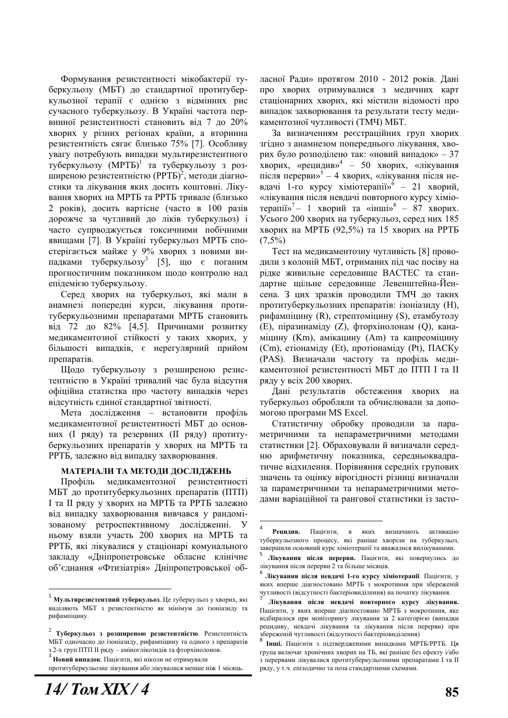Формування резистентності мікобактерії туберкульозу (МБТ) до стандартної протитуберкульозної терапії є однією з відмінних рис сучасного туберкульозу. В Україні частота первинної резистентності становить від 7 до 20% хворих у різних регіонах країни, а вторинна резистентність сягає близько 75% [7]. Особливу увагу потребують випалки мультирезистентного туберкульозу (МРТБ)<sup>1</sup> та туберкульозу з розширеною резистентністю (РРТБ)<sup>2</sup>, методи діагностики та лікування яких досить коштовні. Лікування хворих на МРТБ та РРТБ тривале (близько 2 років), досить вартісне (часто в 100 разів дорожче за чутливий до ліків туберкульоз) і часто супрводжується токсичними побічними явищами [7]. В Україні туберкульоз МРТБ спостерігається майже у 9% хворих з новими випадками туберкульозу<sup>3</sup> [5], що  $\epsilon$  поганим прогностичним показником щодо контролю над епідемією туберкульозу.

Серед хворих на туберкульоз, які мали в анамнезі попередні курси, лікування протитуберкульозними препаратами МРТБ становить від 72 до 82% [4,5]. Причинами розвитку медикаментозної стійкості у таких хворих, у більшості випадків, є нерегулярний прийом препаратів.

Щодо туберкульозу з розширеною резистентністю в Україні тривалий час була відсутня офіційна статистка про частоту випадків через відсутність єдиної стандартної звітності.

Мета дослідження – встановити профіль медикаментозної резистентності МБТ до основних (I ряду) та резервних (II ряду) протитуберкульозних препаратів у хворих на МРТБ та РРТБ, залежно від випадку захворювання.

#### МАТЕРІАЛИ ТА МЕТОДИ ДОСЛІДЖЕНЬ

Профіль медикаментозної резистентності МБТ до протитуберкульозних препаратів (ПТП) I та II ряду у хворих на МРТБ та РРТБ залежно від випадку захворювання вивчався у рандомізованому ретроспективному дослідженні. У ньому взяли участь 200 хворих на МРТБ та РРТБ, які лікувалися у стаціонарі комунального закладу «Дніпропетровське обласне клінічне об'єднання «Фтизіатрія» Дніпропетровської обласної Ради» протягом 2010 - 2012 років. Дані про хворих отримувалися з медичних карт стаціонарних хворих, які містили відомості про випадок захворювання та результати тесту медикаментозної чутливості (ТМЧ) МБТ.

За визначенням ресстраційних груп хворих згідно з анамнезом попереднього лікування, хворих було розполілено так: «новий випалок» – 37 хворих, «рецидив»<sup>4</sup> – 50 хворих, «лікування після перерви»<sup>5</sup> - 4 хворих, «лікування після невдачі 1-го курсу хіміотерапії»<sup>6</sup> - 21 хворий, «лікування після невдачі повторного курсу хіміотерапії»<sup>7</sup> – 1 хворий та «інші»<sup>8</sup> – 87 хворих. Усього 200 хворих на туберкульоз, серед них 185 хворих на МРТБ (92,5%) та 15 хворих на РРТБ  $(7.5\%)$ 

Тест на медикаментозну чутливість [8] проводили з колоній МБТ, отриманих під час посіву на рідке живильне середовище ВАСТЕС та стандартне щільне середовище Левенштейна-Йенсена. З цих зразків проводили ТМЧ до таких протитуберкульозних препаратів: ізоніазиду (Н), рифампіцину (R), стрептоміцину (S), етамбутолу (Е), піразинаміду (Z), фторхінолонам (Q), канаміцину (Km), амікацину (Am) та капреоміцину (Cm), етіонаміду (Et), протіонаміду (Pt), ПАСКу (PAS). Визначали частоту та профіль медикаментозної резистентності МБТ до ПТП І та II ряду у всіх 200 хворих.

Дані результатів обстеження хворих на туберкульоз обробляли та обчислювали за допомогою програми MS Excel.

Статистичну обробку проводили за параметричними та непараметричними методами статистики [2]. Обраховували й визначали середню арифметичну показника, середньоквадратичне відхилення. Порівняння середніх групових значень та оцінку вірогідності різниці визначали за параметричними та непараметричними методами варіаційної та рангової статистики із засто-

<sup>&</sup>lt;sup>1</sup> Мультирезистентний туберкульоз. Це туберкульоз у хворих, які виділяють МБТ з резистентністю як мінімум до ізоніазиду та рифампінину.

<sup>&</sup>lt;sup>2</sup> Туберкульоз з розширеною резистентністю. Резистентність МЬТ одночасно до ізоніазиду, рифампіцину та одного з препаратів 3 2-х груп ПТП II ряду – аміноглікозидів та фторхінолонов.<br><sup>3</sup> **Новий випадок**. Пацієнти, які ніколи не отримували

протитуберкульозне лікування або лікувалися менше ніж 1 місяць.

<sup>4</sup> **Рецидив.** Пацієнти, в яких визначають активацію туберкульозного процесу, які раніше хворіли на туберкульоз, завершили основний курс хіміотерапії та вважалися вилікуваними.<br><sup>5</sup> Лікування після перерви. Пацієнти, які повернулись до

лікування після перерви 2 та більше місяців.<br><sup>6</sup> Лікування після невдачі 1-го курсу хіміотерапії. Пацієнти, у яких вперше ліагностовано МРТБ з мокротиння при збереженій чутливості (відсутності бактеріовиділення) на початку лікування.<br>7 **Лікування після невдачі повторного курсу лікування.** 

Пацієнти, у яких вперше діагностовано МРТБ з мокротиння, яке відбиралося при моніторингу лікування за 2 категорією (випадки рецидиву, невдачі лікування та лікування після перерви) при збереженій чутливості (відсутності бактеріовиділення)<br><sup>8</sup> Інші. Пацієнти з підтвердженими випадками МРТБ/РРТБ. Ця

група включає хронічних хворих на ТБ, які раніше без ефекту і/або з перервами лікувалися протитуберкульозними препаратами I та II ряду, у т.ч. епізодично та поза стандартними схемами.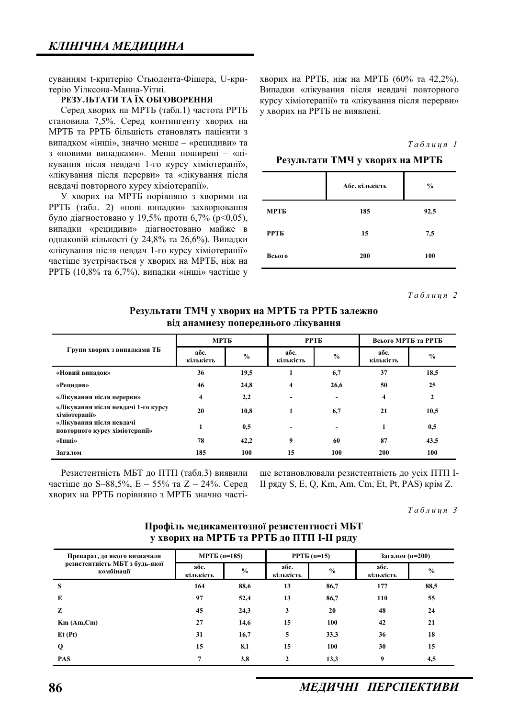суванням t-критерію Стьюдента-Фішера, U-критерію Уілксона-Манна-Уітні.

### РЕЗУЛЬТАТИ ТА ЇХ ОБГОВОРЕННЯ

Серед хворих на МРТБ (табл.1) частота РРТБ становила 7,5%. Серед контингенту хворих на МРТБ та РРТБ більшість становлять пацієнти з випадком «інші», значно менше – «рецидиви» та з «новими випадками». Менш поширені - «лікування після невдачі 1-го курсу хіміотерапії», «лікування після перерви» та «лікування після невдачі повторного курсу хіміотерапії».

У хворих на МРТБ порівняно з хворими на РРТБ (табл. 2) «нові випадки» захворювання було діагностовано у 19,5% проти 6,7% ( $p<0,05$ ), випадки «рецидиви» діагностовано майже в однаковій кількості (у 24,8% та 26,6%). Випадки «лікування після невдач 1-го курсу хіміотерапії» частіше зустрічається у хворих на МРТБ, ніж на РРТБ (10,8% та 6,7%), випадки «інші» частіше у хворих на РРТБ, ніж на МРТБ (60% та 42,2%). Випадки «лікування після невдачі повторного курсу хіміотерапії» та «лікування після перерви» у хворих на РРТБ не виявлені.

#### $Ta6\n$ <sub>µ</sub>\n<i>u</i>\n<i>u</i>\n<i>s</i> 1\n</sub>

Результати ТМЧ у хворих на МРТБ

|        | Абс. кількість | $\frac{0}{0}$ |
|--------|----------------|---------------|
| МРТБ   | 185            | 92,5          |
| РРТБ   | 15             | 7,5           |
| Всього | 200            | 100           |

 $Ta6$ лиия 2

Результати ТМЧ у хворих на МРТБ та РРТБ залежно **від анамнезу попереднього лікування** 

| Групи хворих з випадками ТБ                                | МРТБ              |               | <b>PPTE</b>              |                | Всього МРТБ та РРТБ |               |  |
|------------------------------------------------------------|-------------------|---------------|--------------------------|----------------|---------------------|---------------|--|
|                                                            | абс.<br>кількість | $\frac{0}{0}$ | абс.<br>кількість        | $\frac{0}{0}$  | абс.<br>кількість   | $\frac{0}{0}$ |  |
| «Новий випадок»                                            | 36                | 19,5          |                          | 6,7            | 37                  | 18,5          |  |
| «Рецидив»                                                  | 46                | 24,8          | 4                        | 26,6           | 50                  | 25            |  |
| «Лікування після перерви»                                  | 4                 | 2,2           |                          | $\blacksquare$ | 4                   | $\mathbf{2}$  |  |
| «Лікування після невдачі 1-го курсу<br>хіміотерапії»       | 20                | 10,8          |                          | 6,7            | 21                  | 10,5          |  |
| «Лікування після невдачі<br>повторного курсу хіміотерапії» |                   | 0,5           | $\overline{\phantom{a}}$ | $\blacksquare$ | 1                   | 0,5           |  |
| «Інші»                                                     | 78                | 42,2          | 9                        | 60             | 87                  | 43,5          |  |
| Загалом                                                    | 185               | 100           | 15                       | 100            | <b>200</b>          | 100           |  |

Резистентність МБТ до ПТП (табл.3) виявили частіше до S–88,5%, Е – 55% та Z – 24%. Серед хворих на РРТБ порівняно з МРТБ значно частіше встановлювали резистентність до усіх ПТП I-II ряду S, E, Q, Km, Am, Cm, Et, Pt, PAS) крім Z.

 $Ta6$ лиия 3

| $\bullet$<br>. .                                                             |                   |               |                   | .             |                   |               |
|------------------------------------------------------------------------------|-------------------|---------------|-------------------|---------------|-------------------|---------------|
| Препарат, до якого визначали<br>резистентність МБТ з будь-якої<br>комбінації | $MPTE (n=185)$    |               | $PPTB(n=15)$      |               | Загалом (п=200)   |               |
|                                                                              | абс.<br>кількість | $\frac{0}{0}$ | абс.<br>кількість | $\frac{6}{6}$ | абс.<br>кількість | $\frac{6}{6}$ |
| S                                                                            | 164               | 88,6          | 13                | 86,7          | 177               | 88,5          |
| E                                                                            | 97                | 52,4          | 13                | 86,7          | 110               | 55            |
| z                                                                            | 45                | 24,3          | 3                 | 20            | 48                | 24            |
| Km(Am,Cm)                                                                    | 27                | 14,6          | 15                | 100           | 42                | 21            |
| Et(Pt)                                                                       | 31                | 16,7          | 5                 | 33,3          | 36                | 18            |
| Q                                                                            | 15                | 8,1           | 15                | 100           | 30                | 15            |
| <b>PAS</b>                                                                   |                   | 3,8           | $\overline{2}$    | 13,3          | 9                 | 4,5           |

# Профіль медикаментозної резистентності МБТ **ɭ ɯɜɨɪɢɯ ɧɚ ɆɊɌȻ ɬɚ ɊɊɌȻ ɞɨ ɉɌɉ I-II ɪɹɞɭ**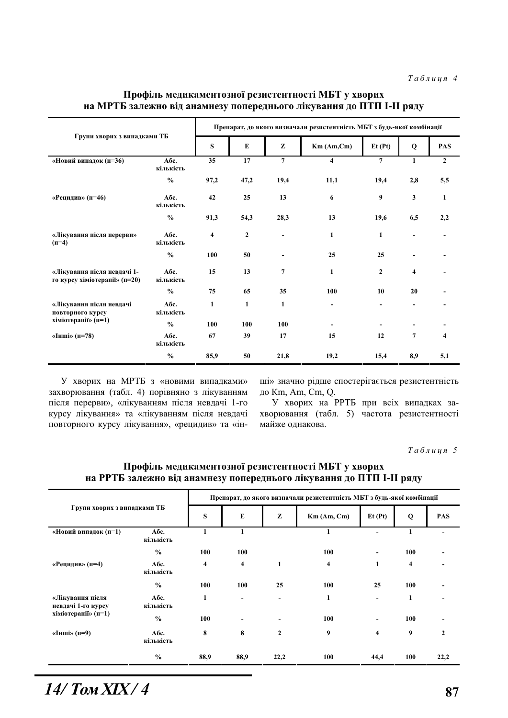### Профіль медикаментозної резистентності МБТ у хворих на МРТБ залежно від анамнезу попереднього лікування до ПТП I-II ряду

| Групи хворих з випадками ТБ                                  |                   | Препарат, до якого визначали резистентність МБТ з будь-якої комбінації |              |                          |                         |                |                     |                |  |
|--------------------------------------------------------------|-------------------|------------------------------------------------------------------------|--------------|--------------------------|-------------------------|----------------|---------------------|----------------|--|
|                                                              |                   | S                                                                      | E            | z                        | Km (Am, Cm)             | Et(Pt)         | Q                   | <b>PAS</b>     |  |
| «Новий випадок (п=36)                                        | Абс.<br>кількість | 35                                                                     | 17           | $\overline{7}$           | $\overline{\mathbf{4}}$ | $\overline{7}$ | 1                   | $\overline{2}$ |  |
|                                                              | $\frac{0}{0}$     | 97,2                                                                   | 47,2         | 19,4                     | 11,1                    | 19,4           | 2,8                 | 5,5            |  |
| «Рецидив» (п=46)                                             | Абс.<br>кількість | 42                                                                     | 25           | 13                       | 6                       | 9              | 3                   | 1              |  |
|                                                              | $\frac{0}{0}$     | 91,3                                                                   | 54,3         | 28,3                     | 13                      | 19,6           | 6,5                 | 2,2            |  |
| «Лікування після перерви»<br>$(n=4)$                         | Абс.<br>кількість | 4                                                                      | $\mathbf{2}$ | $\blacksquare$           | $\mathbf{1}$            | 1              | $\blacksquare$      |                |  |
|                                                              | $\frac{0}{0}$     | 100                                                                    | 50           | $\overline{\phantom{a}}$ | 25                      | 25             | $\blacksquare$      |                |  |
| «Лікування після невдачі 1-<br>го курсу хіміотерапії» (п=20) | Абс.<br>кількість | 15                                                                     | 13           | 7                        | $\mathbf{1}$            | $\overline{2}$ | $\overline{\bf{4}}$ |                |  |
|                                                              | $\frac{0}{0}$     | 75                                                                     | 65           | 35                       | 100                     | 10             | 20                  |                |  |
| «Лікування після невдачі<br>повторного курсу                 | Абс.<br>кількість | $\mathbf{1}$                                                           | $\mathbf{1}$ | $\mathbf{1}$             | $\blacksquare$          |                |                     |                |  |
| хіміотерапії» (п=1)                                          | $\frac{0}{0}$     | 100                                                                    | 100          | 100                      |                         |                |                     |                |  |
| «Інші» (п=78)                                                | Абс.<br>кількість | 67                                                                     | 39           | 17                       | 15                      | 12             | 7                   | 4              |  |
|                                                              | $\frac{0}{0}$     | 85,9                                                                   | 50           | 21,8                     | 19,2                    | 15,4           | 8,9                 | 5,1            |  |

У хворих на МРТБ з «новими випадками» захворювання (табл. 4) порівняно з лікуванням після перерви», «лікуванням після невдачі 1-го курсу лікування» та «лікуванням після невдачі повторного курсу лікування», «рецидив» та «інші» значно рідше спостерігається резистентність до Km, Am, Cm, Q.

У хворих на РРТБ при всіх випадках захворювання (табл. 5) частота резистентності майже однакова.

 $Ta6\n$ 

| Групи хворих з випадками ТБ                                   |                   | Препарат, до якого визначали резистентність МБТ з будь-якої комбінації |                         |                              |                         |                     |                         |              |  |  |
|---------------------------------------------------------------|-------------------|------------------------------------------------------------------------|-------------------------|------------------------------|-------------------------|---------------------|-------------------------|--------------|--|--|
|                                                               |                   | S                                                                      | ${\bf E}$               | Z                            | $Km$ (Am, Cm)           | Et(Pt)              | Q                       | <b>PAS</b>   |  |  |
| «Новий випадок (п=1)                                          | Абс.<br>кількість | 1                                                                      |                         |                              | 1                       |                     | 1                       |              |  |  |
| «Рецидив» (п=4)                                               | $\frac{0}{0}$     | 100                                                                    | 100                     |                              | 100                     | $\blacksquare$      | 100                     |              |  |  |
|                                                               | Абс.<br>кількість | 4                                                                      | $\overline{\mathbf{4}}$ | 1                            | $\overline{\mathbf{4}}$ | 1                   | $\overline{\mathbf{4}}$ |              |  |  |
|                                                               | $\frac{0}{0}$     | 100                                                                    | 100                     | 25                           | 100                     | 25                  | 100                     |              |  |  |
| «Лікування після<br>невдачі 1-го курсу<br>хіміотерапії» (п=1) | Абс.<br>кількість | 1                                                                      |                         | $\qquad \qquad \blacksquare$ | $\mathbf{1}$            |                     | $\mathbf{1}$            |              |  |  |
|                                                               | $\frac{0}{0}$     | 100                                                                    |                         |                              | 100                     | $\blacksquare$      | 100                     |              |  |  |
| «Інші» (п=9)                                                  | Абс.<br>кількість | 8                                                                      | 8                       | $\mathbf{2}$                 | 9                       | $\overline{\bf{4}}$ | 9                       | $\mathbf{2}$ |  |  |
|                                                               | $\frac{6}{6}$     | 88,9                                                                   | 88,9                    | 22,2                         | 100                     | 44,4                | 100                     | 22,2         |  |  |

### Профіль медикаментозної резистентності МБТ у хворих на РРТБ залежно від анамнезу попереднього лікування до ПТП I-II ряду

*14/*  $\text{Tom } \text{XIX} / 4$  87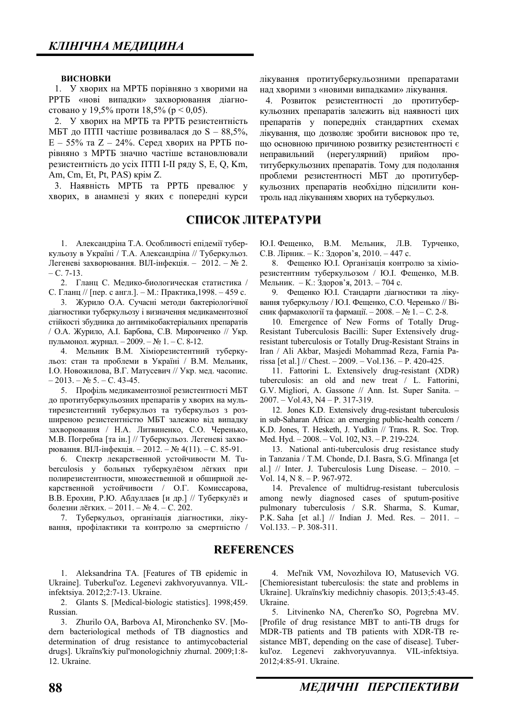#### **ВИСНОВКИ**

1. У хворих на МРТБ порівняно з хворими на РРТБ «нові випадки» захворювання діагностовано у 19,5% проти 18,5% ( $p < 0.05$ ).

2. У хворих на МРТБ та РРТБ резистентність МБТ до ПТП частіше розвивалася до  $S - 88,5\%$ ,  $E - 55\%$  та Z – 24%. Серед хворих на РРТБ порівняно з МРТБ значно частіше встановлювали резистентність до усіх ПТП I-II ряду S, E, Q, Km, Am, Cm, Et, Pt, PAS) крім Z.

3. Наявність МРТБ та РРТБ превалює у хворих, в анамнезі у яких є попередні курси

# СПИСОК ЛІТЕРАТУРИ

1. Александріна Т.А. Особливості епідемії туберкульозу в Україні / Т.А. Александріна // Туберкульоз. Легеневі захворювання. ВІЛ-інфекція. - 2012. – № 2.  $- C. 7-13.$ 

2. Гланц С. Медико-биологическая статистика / С. Гланц // [пер. с англ.]. – М.: Практика,1998. – 459 с.

3. Журило О.А. Сучасні методи бактеріологічної діагностики туберкульозу і визначення медикаментозної стійкості збудника до антимікобактеріальних препаратів / О.А. Журило, А.І. Барбова, С.В. Миронченко // Укр. пульмонол. журнал.  $-2009. - N$ <sup>o</sup> 1. – С. 8-12.

4. Мельник В.М. Хіміорезистентний туберкульоз: стан та проблеми в Україні / В.М. Мельник, I.O. Новожилова. В.Г. Матусевич // Укр. мел. часопис.  $-2013. - N_2 5. - C. 43-45.$ 

5. Профіль медикаментозної резистентності МБТ до протитуберкульозних препаратів у хворих на мультирезистентний туберкульоз та туберкульоз з розширеною резистентністю МБТ залежно від випадку захворювання / Н.А. Литвиненко, С.О. Черенько, М.В. Погребна [та ін.] // Туберкульоз. Легеневі захворювання. ВІЛ-інфекція. – 2012. – № 4(11). – С. 85-91.

6. Спектр лекарственной устойчивости М. Tuberculosis у больных туберкулёзом лёгких при полирезистентности, множественной и обширной лекарственной устойчивости / О.Г. Комиссарова, В.В. Ерохин, Р.Ю. Абдуллаев [и др.] // Туберкулёз и болезни лёгких. – 2011. – № 4. – С. 202.

7. Туберкульоз, організація діагностики, лікування, профілактики та контролю за смертністю / лікування протитуберкульозними препаратами над хворими з «новими випадками» лікування.

4. Розвиток резистентності до протитуберкульозних препаратів залежить від наявності цих препаратів у попередніх стандартних схемах лікування, що дозволяє зробити висновок про те, що основною причиною розвитку резистентності є неправильний (нерегулярний) прийом протитуберкульозних препаратів. Тому для подолання проблеми резистентності МБТ до протитуберкульозних препаратів необхідно підсилити контроль над лікуванням хворих на туберкульоз.

Ю.І. Фещенко, В.М. Мельник, Л.В. Турченко, С.В. Лірник. – К.: Здоров'я, 2010. – 447 с.

8. Фещенко Ю.І. Організація контролю за хіміорезистентним туберкульозом / Ю.І. Фещенко, М.В. Мельник. – К.: Здоров'я, 2013. – 704 с.

9. Фещенко Ю.І. Стандарти діагностики та лікування туберкульозу / Ю.І. Фещенко, С.О. Черенько // Вісник фармакології та фармації. - 2008. – № 1. – С. 2-8.

10. Emergence of New Forms of Totally Drug-Resistant Tuberculosis Bacilli: Super Extensively drugresistant tuberculosis or Totally Drug-Resistant Strains in Iran / Ali Akbar, Masjedi Mohammad Reza, Farnia Parissa [et al.] // Chest. – 2009. – Vol.136. – P. 420-425.

11. Fattorini L. Extensively drug-resistant (XDR) tuberculosis: an old and new treat / L. Fattorini, G.V. Migliori, A. Gassone // Ann. Ist. Super Sanita. – 2007. – Vol.43, N4 – P. 317-319.

12. Jones K.D. Extensively drug-resistant tuberculosis in sub-Saharan Africa: an emerging public-health concern / K.D. Jones, T. Hesketh, J. Yudkin // Trans. R. Soc. Trop. Med. Hyd. – 2008. – Vol. 102, N3. – P. 219-224.

13. National anti-tuberculosis drug resistance study in Tanzania / T.M. Chonde, D.I. Basra, S.G. Mfinanga [et al.] // Inter. J. Tuberculosis Lung Disease. – 2010. – Vol. 14, N 8. – P. 967-972.

14. Prevalence of multidrug-resistant tuberculosis among newly diagnosed cases of sputum-positive pulmonary tuberculosis / S.R. Sharma, S. Kumar, P.K. Saha [et al.] // Indian J. Med. Res. – 2011. – Vol.133. – P. 308-311.

### **REFERENCES**

1. Aleksandrina TA. [Features of TB epidemic in Ukraine]. Tuberkul'oz. Legenevi zakhvoryuvannya. VILinfektsiya. 2012;2:7-13. Ukraine.

2. Glants S. [Medical-biologic statistics]. 1998;459. Russian.

3. Zhurilo OA, Barbova AI, Mironchenko SV. [Modern bacteriological methods of TB diagnostics and determination of drug resistance to antimycobacterial drugs]. Ukraïns'kiy pul'monologichniy zhurnal. 2009;1:8-12. Ukraine.

4. Mel'nik VM, Novozhilova IO, Matusevich VG. [Chemioresistant tuberculosis: the state and problems in Ukraine]. Ukraïns'kiy medichniy chasopis. 2013;5:43-45. Ukraine.

5. Litvinenko NA, Cheren'ko SO, Pogrebna MV. [Profile of drug resistance MBT to anti-TB drugs for MDR-TB patients and TB patients with XDR-TB resistance MBT, depending on the case of disease]. Tuberkul'oz. Legenevi zakhvoryuvannya. VIL-infektsiya. 2012;4:85-91. Ukraine.